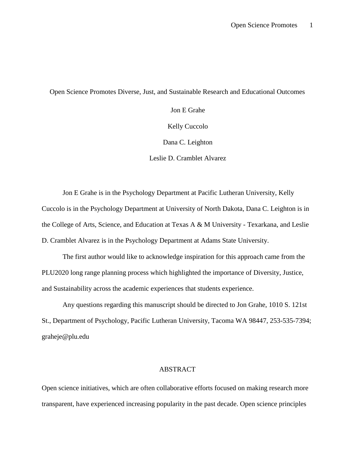## Open Science Promotes Diverse, Just, and Sustainable Research and Educational Outcomes

Jon E Grahe Kelly Cuccolo Dana C. Leighton Leslie D. Cramblet Alvarez

Jon E Grahe is in the Psychology Department at Pacific Lutheran University, Kelly Cuccolo is in the Psychology Department at University of North Dakota, Dana C. Leighton is in the College of Arts, Science, and Education at Texas A & M University - Texarkana, and Leslie D. Cramblet Alvarez is in the Psychology Department at Adams State University.

The first author would like to acknowledge inspiration for this approach came from the PLU2020 long range planning process which highlighted the importance of Diversity, Justice, and Sustainability across the academic experiences that students experience.

Any questions regarding this manuscript should be directed to Jon Grahe, 1010 S. 121st St., Department of Psychology, Pacific Lutheran University, Tacoma WA 98447, 253-535-7394; graheje@plu.edu

# ABSTRACT

Open science initiatives, which are often collaborative efforts focused on making research more transparent, have experienced increasing popularity in the past decade. Open science principles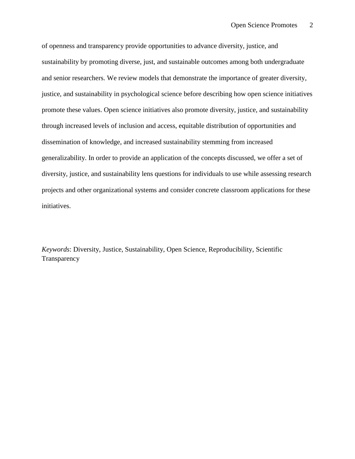of openness and transparency provide opportunities to advance diversity, justice, and sustainability by promoting diverse, just, and sustainable outcomes among both undergraduate and senior researchers. We review models that demonstrate the importance of greater diversity, justice, and sustainability in psychological science before describing how open science initiatives promote these values. Open science initiatives also promote diversity, justice, and sustainability through increased levels of inclusion and access, equitable distribution of opportunities and dissemination of knowledge, and increased sustainability stemming from increased generalizability. In order to provide an application of the concepts discussed, we offer a set of diversity, justice, and sustainability lens questions for individuals to use while assessing research projects and other organizational systems and consider concrete classroom applications for these initiatives.

*Keywords*: Diversity, Justice, Sustainability, Open Science, Reproducibility, Scientific **Transparency**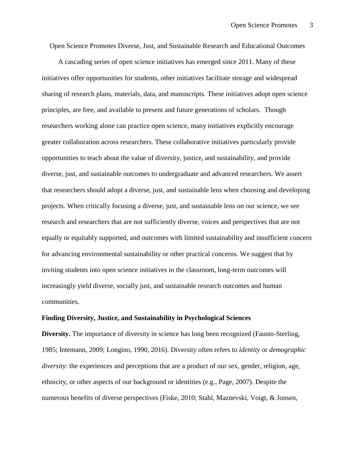Open Science Promotes Diverse, Just, and Sustainable Research and Educational Outcomes

A cascading series of open science initiatives has emerged since 2011. Many of these initiatives offer opportunities for students, other initiatives facilitate storage and widespread sharing of research plans, materials, data, and manuscripts. These initiatives adopt open science principles, are free, and available to present and future generations of scholars. Though researchers working alone can practice open science, many initiatives explicitly encourage greater collaboration across researchers. These collaborative initiatives particularly provide opportunities to teach about the value of diversity, justice, and sustainability, and provide diverse, just, and sustainable outcomes to undergraduate and advanced researchers. We assert that researchers should adopt a diverse, just, and sustainable lens when choosing and developing projects. When critically focusing a diverse, just, and sustainable lens on our science, we see research and researchers that are not sufficiently diverse, voices and perspectives that are not equally or equitably supported, and outcomes with limited sustainability and insufficient concern for advancing environmental sustainability or other practical concerns. We suggest that by inviting students into open science initiatives in the classroom, long-term outcomes will increasingly yield diverse, socially just, and sustainable research outcomes and human communities.

## **Finding Diversity, Justice, and Sustainability in Psychological Sciences**

**Diversity.** The importance of diversity in science has long been recognized (Fausto-Sterling, 1985; Intemann, 2009; Longino, 1990, 2016). Diversity often refers to *identity* or *demographic diversity*: the experiences and perceptions that are a product of our sex, gender, religion, age, ethnicity, or other aspects of our background or identities (e.g., Page, 2007). Despite the numerous benefits of diverse perspectives (Fiske, 2010; Stahl, Maznevski, Voigt, & Jonsen,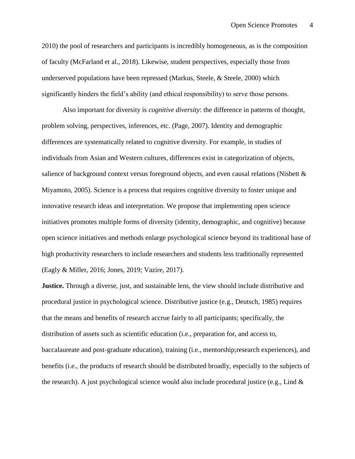2010) the pool of researchers and participants is incredibly homogeneous, as is the composition of faculty (McFarland et al., 2018). Likewise, student perspectives, especially those from underserved populations have been repressed (Markus, Steele, & Steele, 2000) which significantly hinders the field's ability (and ethical responsibility) to serve those persons.

Also important for diversity is *cognitive diversity*: the difference in patterns of thought, problem solving, perspectives, inferences, etc. (Page, 2007). Identity and demographic differences are systematically related to cognitive diversity. For example, in studies of individuals from Asian and Western cultures, differences exist in categorization of objects, salience of background context versus foreground objects, and even causal relations (Nisbett & Miyamoto, 2005). Science is a process that requires cognitive diversity to foster unique and innovative research ideas and interpretation. We propose that implementing open science initiatives promotes multiple forms of diversity (identity, demographic, and cognitive) because open science initiatives and methods enlarge psychological science beyond its traditional base of high productivity researchers to include researchers and students less traditionally represented (Eagly & Miller, 2016; Jones, 2019; Vazire, 2017).

**Justice.** Through a diverse, just, and sustainable lens, the view should include distributive and procedural justice in psychological science. Distributive justice (e.g., Deutsch, 1985) requires that the means and benefits of research accrue fairly to all participants; specifically, the distribution of assets such as scientific education (i.e., preparation for, and access to, baccalaureate and post-graduate education), training (i.e., mentorship;research experiences), and benefits (i.e., the products of research should be distributed broadly, especially to the subjects of the research). A just psychological science would also include procedural justice (e.g., Lind  $\&$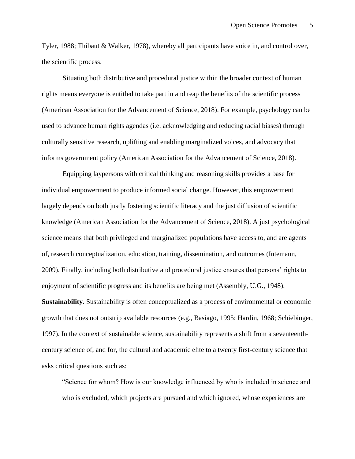Tyler, 1988; Thibaut & Walker, 1978), whereby all participants have voice in, and control over, the scientific process.

Situating both distributive and procedural justice within the broader context of human rights means everyone is entitled to take part in and reap the benefits of the scientific process (American Association for the Advancement of Science, 2018). For example, psychology can be used to advance human rights agendas (i.e. acknowledging and reducing racial biases) through culturally sensitive research, uplifting and enabling marginalized voices, and advocacy that informs government policy (American Association for the Advancement of Science, 2018).

Equipping laypersons with critical thinking and reasoning skills provides a base for individual empowerment to produce informed social change. However, this empowerment largely depends on both justly fostering scientific literacy and the just diffusion of scientific knowledge (American Association for the Advancement of Science, 2018). A just psychological science means that both privileged and marginalized populations have access to, and are agents of, research conceptualization, education, training, dissemination, and outcomes (Intemann, 2009). Finally, including both distributive and procedural justice ensures that persons' rights to enjoyment of scientific progress and its benefits are being met (Assembly, U.G., 1948). **Sustainability.** Sustainability is often conceptualized as a process of environmental or economic growth that does not outstrip available resources (e.g., Basiago, 1995; Hardin, 1968; Schiebinger, 1997). In the context of sustainable science, sustainability represents a shift from a seventeenthcentury science of, and for, the cultural and academic elite to a twenty first-century science that asks critical questions such as:

"Science for whom? How is our knowledge influenced by who is included in science and who is excluded, which projects are pursued and which ignored, whose experiences are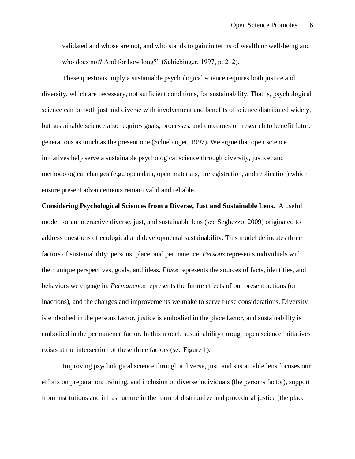validated and whose are not, and who stands to gain in terms of wealth or well-being and who does not? And for how long?" (Schiebinger, 1997, p. 212).

These questions imply a sustainable psychological science requires both justice and diversity, which are necessary, not sufficient conditions, for sustainability. That is, psychological science can be both just and diverse with involvement and benefits of science distributed widely, but sustainable science also requires goals, processes, and outcomes of research to benefit future generations as much as the present one (Schiebinger, 1997). We argue that open science initiatives help serve a sustainable psychological science through diversity, justice, and methodological changes (e.g., open data, open materials, preregistration, and replication) which ensure present advancements remain valid and reliable.

**Considering Psychological Sciences from a Diverse, Just and Sustainable Lens.** A useful model for an interactive diverse, just, and sustainable lens (see Seghezzo, 2009) originated to address questions of ecological and developmental sustainability. This model delineates three factors of sustainability: persons, place, and permanence. *Persons* represents individuals with their unique perspectives, goals, and ideas. *Place* represents the sources of facts, identities, and behaviors we engage in. *Permanence* represents the future effects of our present actions (or inactions), and the changes and improvements we make to serve these considerations. Diversity is embodied in the persons factor, justice is embodied in the place factor, and sustainability is embodied in the permanence factor. In this model, sustainability through open science initiatives exists at the intersection of these three factors (see Figure 1).

Improving psychological science through a diverse, just, and sustainable lens focuses our efforts on preparation, training, and inclusion of diverse individuals (the persons factor), support from institutions and infrastructure in the form of distributive and procedural justice (the place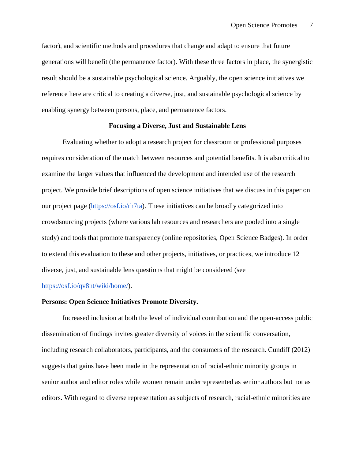factor), and scientific methods and procedures that change and adapt to ensure that future generations will benefit (the permanence factor). With these three factors in place, the synergistic result should be a sustainable psychological science. Arguably, the open science initiatives we reference here are critical to creating a diverse, just, and sustainable psychological science by enabling synergy between persons, place, and permanence factors.

## **Focusing a Diverse, Just and Sustainable Lens**

 Evaluating whether to adopt a research project for classroom or professional purposes requires consideration of the match between resources and potential benefits. It is also critical to examine the larger values that influenced the development and intended use of the research project. We provide brief descriptions of open science initiatives that we discuss in this paper on our project page [\(https://osf.io/rh7ta\)](https://osf.io/rh7ta/). These initiatives can be broadly categorized into crowdsourcing projects (where various lab resources and researchers are pooled into a single study) and tools that promote transparency (online repositories, Open Science Badges). In order to extend this evaluation to these and other projects, initiatives, or practices, we introduce 12 diverse, just, and sustainable lens questions that might be considered (see

### [https://osf.io/qv8nt/wiki/home/\)](https://osf.io/qv8nt/wiki/home/).

## **Persons: Open Science Initiatives Promote Diversity.**

Increased inclusion at both the level of individual contribution and the open-access public dissemination of findings invites greater diversity of voices in the scientific conversation, including research collaborators, participants, and the consumers of the research. Cundiff (2012) suggests that gains have been made in the representation of racial-ethnic minority groups in senior author and editor roles while women remain underrepresented as senior authors but not as editors. With regard to diverse representation as subjects of research, racial-ethnic minorities are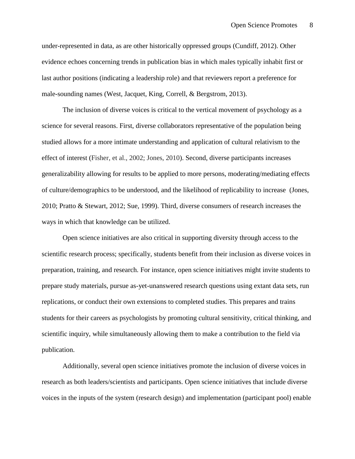under-represented in data, as are other historically oppressed groups (Cundiff, 2012). Other evidence echoes concerning trends in publication bias in which males typically inhabit first or last author positions (indicating a leadership role) and that reviewers report a preference for male-sounding names (West, Jacquet, King, Correll, & Bergstrom, 2013).

The inclusion of diverse voices is critical to the vertical movement of psychology as a science for several reasons. First, diverse collaborators representative of the population being studied allows for a more intimate understanding and application of cultural relativism to the effect of interest (Fisher, et al., 2002; Jones, 2010). Second, diverse participants increases generalizability allowing for results to be applied to more persons, moderating/mediating effects of culture/demographics to be understood, and the likelihood of replicability to increase (Jones, 2010; Pratto & Stewart, 2012; Sue, 1999). Third, diverse consumers of research increases the ways in which that knowledge can be utilized.

Open science initiatives are also critical in supporting diversity through access to the scientific research process; specifically, students benefit from their inclusion as diverse voices in preparation, training, and research. For instance, open science initiatives might invite students to prepare study materials, pursue as-yet-unanswered research questions using extant data sets, run replications, or conduct their own extensions to completed studies. This prepares and trains students for their careers as psychologists by promoting cultural sensitivity, critical thinking, and scientific inquiry, while simultaneously allowing them to make a contribution to the field via publication.

Additionally, several open science initiatives promote the inclusion of diverse voices in research as both leaders/scientists and participants. Open science initiatives that include diverse voices in the inputs of the system (research design) and implementation (participant pool) enable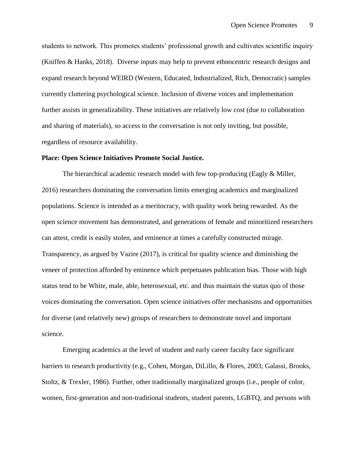students to network. This promotes students' professional growth and cultivates scientific inquiry (Kniffen & Hanks, 2018). Diverse inputs may help to prevent ethnocentric research designs and expand research beyond WEIRD (Western, Educated, Industrialized, Rich, Democratic) samples currently cluttering psychological science. Inclusion of diverse voices and implementation further assists in generalizability. These initiatives are relatively low cost (due to collaboration and sharing of materials), so access to the conversation is not only inviting, but possible, regardless of resource availability.

## **Place: Open Science Initiatives Promote Social Justice.**

The hierarchical academic research model with few top-producing (Eagly & Miller, 2016) researchers dominating the conversation limits emerging academics and marginalized populations. Science is intended as a meritocracy, with quality work being rewarded. As the open science movement has demonstrated, and generations of female and minoritized researchers can attest, credit is easily stolen, and eminence at times a carefully constructed mirage. Transparency, as argued by Vazire (2017), is critical for quality science and diminishing the veneer of protection afforded by eminence which perpetuates publication bias. Those with high status tend to be White, male, able, heterosexual, etc. and thus maintain the status quo of those voices dominating the conversation. Open science initiatives offer mechanisms and opportunities for diverse (and relatively new) groups of researchers to demonstrate novel and important science.

 Emerging academics at the level of student and early career faculty face significant barriers to research productivity (e.g., Cohen, Morgan, DiLillo, & Flores, 2003; Galassi, Brooks, Stoltz, & Trexler, 1986). Further, other traditionally marginalized groups (i.e., people of color, women, first-generation and non-traditional students, student parents, LGBTQ, and persons with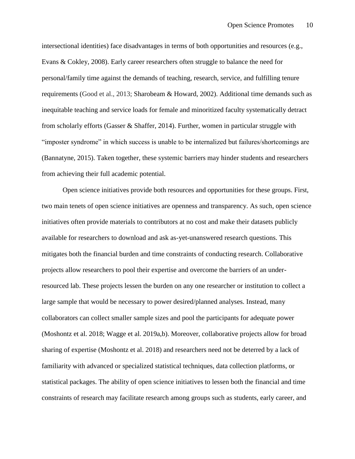intersectional identities) face disadvantages in terms of both opportunities and resources (e.g., Evans & Cokley, 2008). Early career researchers often struggle to balance the need for personal/family time against the demands of teaching, research, service, and fulfilling tenure requirements (Good et al., 2013; Sharobeam & Howard, 2002). Additional time demands such as inequitable teaching and service loads for female and minoritized faculty systematically detract from scholarly efforts (Gasser & Shaffer, 2014). Further, women in particular struggle with "imposter syndrome" in which success is unable to be internalized but failures/shortcomings are (Bannatyne, 2015). Taken together, these systemic barriers may hinder students and researchers from achieving their full academic potential.

 Open science initiatives provide both resources and opportunities for these groups. First, two main tenets of open science initiatives are openness and transparency. As such, open science initiatives often provide materials to contributors at no cost and make their datasets publicly available for researchers to download and ask as-yet-unanswered research questions. This mitigates both the financial burden and time constraints of conducting research. Collaborative projects allow researchers to pool their expertise and overcome the barriers of an underresourced lab. These projects lessen the burden on any one researcher or institution to collect a large sample that would be necessary to power desired/planned analyses. Instead, many collaborators can collect smaller sample sizes and pool the participants for adequate power (Moshontz et al. 2018; Wagge et al. 2019a,b). Moreover, collaborative projects allow for broad sharing of expertise (Moshontz et al. 2018) and researchers need not be deterred by a lack of familiarity with advanced or specialized statistical techniques, data collection platforms, or statistical packages. The ability of open science initiatives to lessen both the financial and time constraints of research may facilitate research among groups such as students, early career, and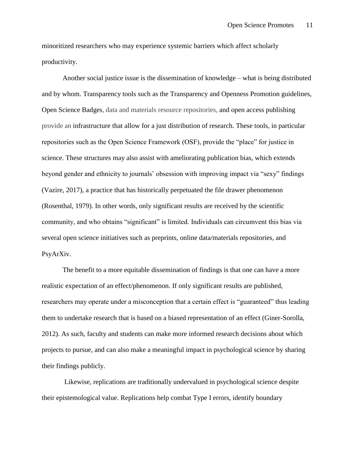minoritized researchers who may experience systemic barriers which affect scholarly productivity.

Another social justice issue is the dissemination of knowledge – what is being distributed and by whom. Transparency tools such as the Transparency and Openness Promotion guidelines, Open Science Badges, data and materials resource repositories, and open access publishing provide an infrastructure that allow for a just distribution of research. These tools, in particular repositories such as the Open Science Framework (OSF), provide the "place" for justice in science. These structures may also assist with ameliorating publication bias, which extends beyond gender and ethnicity to journals' obsession with improving impact via "sexy" findings (Vazire, 2017), a practice that has historically perpetuated the file drawer phenomenon (Rosenthal, 1979). In other words, only significant results are received by the scientific community, and who obtains "significant" is limited. Individuals can circumvent this bias via several open science initiatives such as preprints, online data/materials repositories, and PsyArXiv.

The benefit to a more equitable dissemination of findings is that one can have a more realistic expectation of an effect/phenomenon. If only significant results are published, researchers may operate under a misconception that a certain effect is "guaranteed" thus leading them to undertake research that is based on a biased representation of an effect (Giner-Sorolla, 2012). As such, faculty and students can make more informed research decisions about which projects to pursue, and can also make a meaningful impact in psychological science by sharing their findings publicly.

Likewise, replications are traditionally undervalued in psychological science despite their epistemological value. Replications help combat Type I errors, identify boundary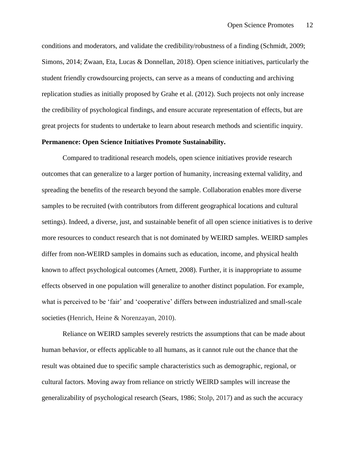conditions and moderators, and validate the credibility/robustness of a finding (Schmidt, 2009; Simons, 2014; Zwaan, Eta, Lucas & Donnellan, 2018). Open science initiatives, particularly the student friendly crowdsourcing projects, can serve as a means of conducting and archiving replication studies as initially proposed by Grahe et al. (2012). Such projects not only increase the credibility of psychological findings, and ensure accurate representation of effects, but are great projects for students to undertake to learn about research methods and scientific inquiry.

## **Permanence: Open Science Initiatives Promote Sustainability.**

Compared to traditional research models, open science initiatives provide research outcomes that can generalize to a larger portion of humanity, increasing external validity, and spreading the benefits of the research beyond the sample. Collaboration enables more diverse samples to be recruited (with contributors from different geographical locations and cultural settings). Indeed, a diverse, just, and sustainable benefit of all open science initiatives is to derive more resources to conduct research that is not dominated by WEIRD samples. WEIRD samples differ from non-WEIRD samples in domains such as education, income, and physical health known to affect psychological outcomes (Arnett, 2008). Further, it is inappropriate to assume effects observed in one population will generalize to another distinct population. For example, what is perceived to be 'fair' and 'cooperative' differs between industrialized and small-scale societies (Henrich, Heine & Norenzayan, 2010).

Reliance on WEIRD samples severely restricts the assumptions that can be made about human behavior, or effects applicable to all humans, as it cannot rule out the chance that the result was obtained due to specific sample characteristics such as demographic, regional, or cultural factors. Moving away from reliance on strictly WEIRD samples will increase the generalizability of psychological research (Sears, 1986; Stolp, 2017) and as such the accuracy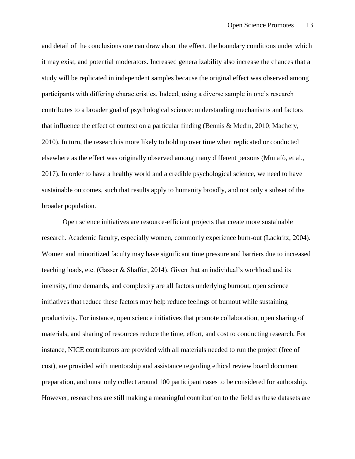and detail of the conclusions one can draw about the effect, the boundary conditions under which it may exist, and potential moderators. Increased generalizability also increase the chances that a study will be replicated in independent samples because the original effect was observed among participants with differing characteristics. Indeed, using a diverse sample in one's research contributes to a broader goal of psychological science: understanding mechanisms and factors that influence the effect of context on a particular finding (Bennis & Medin, 2010; Machery, 2010). In turn, the research is more likely to hold up over time when replicated or conducted elsewhere as the effect was originally observed among many different persons (Munafò, et al., 2017). In order to have a healthy world and a credible psychological science, we need to have sustainable outcomes, such that results apply to humanity broadly, and not only a subset of the broader population.

Open science initiatives are resource-efficient projects that create more sustainable research. Academic faculty, especially women, commonly experience burn-out (Lackritz, 2004). Women and minoritized faculty may have significant time pressure and barriers due to increased teaching loads, etc. (Gasser & Shaffer, 2014). Given that an individual's workload and its intensity, time demands, and complexity are all factors underlying burnout, open science initiatives that reduce these factors may help reduce feelings of burnout while sustaining productivity. For instance, open science initiatives that promote collaboration, open sharing of materials, and sharing of resources reduce the time, effort, and cost to conducting research. For instance, NICE contributors are provided with all materials needed to run the project (free of cost), are provided with mentorship and assistance regarding ethical review board document preparation, and must only collect around 100 participant cases to be considered for authorship. However, researchers are still making a meaningful contribution to the field as these datasets are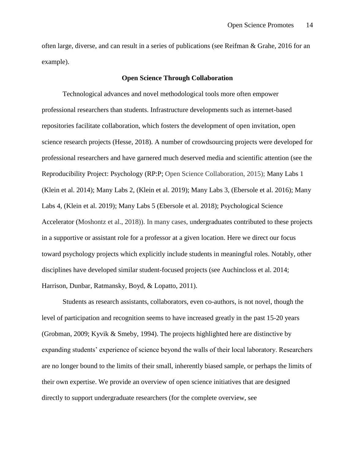often large, diverse, and can result in a series of publications (see Reifman & Grahe, 2016 for an example).

## **Open Science Through Collaboration**

Technological advances and novel methodological tools more often empower professional researchers than students. Infrastructure developments such as internet-based repositories facilitate collaboration, which fosters the development of open invitation, open science research projects (Hesse, 2018). A number of crowdsourcing projects were developed for professional researchers and have garnered much deserved media and scientific attention (see the Reproducibility Project: Psychology (RP:P; Open Science Collaboration, 2015); Many Labs 1 (Klein et al. 2014); Many Labs 2, (Klein et al. 2019); Many Labs 3, (Ebersole et al. 2016); Many Labs 4, (Klein et al. 2019); Many Labs 5 (Ebersole et al. 2018); Psychological Science Accelerator (Moshontz et al., 2018)). In many cases, undergraduates contributed to these projects in a supportive or assistant role for a professor at a given location. Here we direct our focus toward psychology projects which explicitly include students in meaningful roles. Notably, other disciplines have developed similar student-focused projects (see Auchincloss et al. 2014; Harrison, Dunbar, Ratmansky, Boyd, & Lopatto, 2011).

Students as research assistants, collaborators, even co-authors, is not novel, though the level of participation and recognition seems to have increased greatly in the past 15-20 years (Grobman, 2009; Kyvik & Smeby, 1994). The projects highlighted here are distinctive by expanding students' experience of science beyond the walls of their local laboratory. Researchers are no longer bound to the limits of their small, inherently biased sample, or perhaps the limits of their own expertise. We provide an overview of open science initiatives that are designed directly to support undergraduate researchers (for the complete overview, see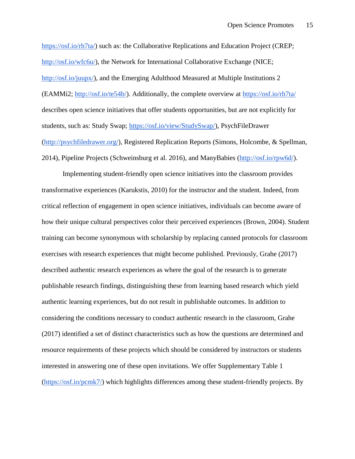[https://osf.io/rh7ta/\)](https://osf.io/rh7ta/) such as: the Collaborative Replications and Education Project (CREP[;](http://osf.io/wfc6u/) [http://osf.io/wfc6u/\)](http://osf.io/wfc6u/), the Network for International Collaborative Exchange (NICE[;](http://osf.io/juupx/) [http://osf.io/juupx/\)](http://osf.io/juupx/), and the Emerging Adulthood Measured at Multiple Institutions 2 (EAMMi2; [http://osf.io/te54b/\)](http://osf.io/te54b/). Additionally, the complete overview at<https://osf.io/rh7ta/> describes open science initiatives that offer students opportunities, but are not explicitly for students, such as: Study Swap[;](https://osf.io/view/StudySwap/) [https://osf.io/view/StudySwap/\)](https://osf.io/view/StudySwap/), PsychFileDrawer [\(http://psychfiledrawer.org/\)](http://psychfiledrawer.org/), Registered Replication Reports (Simons, Holcombe, & Spellman, 2014), Pipeline Projects (Schweinsburg et al. 2016), and ManyBabies [\(http://osf.io/rpw6d/\)](http://osf.io/rpw6d/).

Implementing student-friendly open science initiatives into the classroom provides transformative experiences (Karukstis, 2010) for the instructor and the student. Indeed, from critical reflection of engagement in open science initiatives, individuals can become aware of how their unique cultural perspectives color their perceived experiences (Brown, 2004). Student training can become synonymous with scholarship by replacing canned protocols for classroom exercises with research experiences that might become published. Previously, Grahe (2017) described authentic research experiences as where the goal of the research is to generate publishable research findings, distinguishing these from learning based research which yield authentic learning experiences, but do not result in publishable outcomes. In addition to considering the conditions necessary to conduct authentic research in the classroom, Grahe (2017) identified a set of distinct characteristics such as how the questions are determined and resource requirements of these projects which should be considered by instructors or students interested in answering one of these open invitations. We offer Supplementary Table 1 [\(https://osf.io/pcmk7/\)](https://osf.io/pcmk7/) which highlights differences among these student-friendly projects. By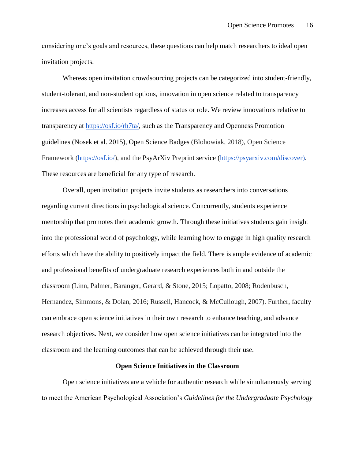considering one's goals and resources, these questions can help match researchers to ideal open invitation projects.

Whereas open invitation crowdsourcing projects can be categorized into student-friendly, student-tolerant, and non-student options, innovation in open science related to transparency increases access for all scientists regardless of status or role. We review innovations relative to transparency at [https://osf.io/rh7ta/,](https://osf.io/rh7ta/) such as the Transparency and Openness Promotion guidelines (Nosek et al. 2015), Open Science Badges (Blohowiak, 2018), Open Science Framework [\(https://osf.io/\)](https://osf.io/), and the PsyArXiv Preprint service [\(https://psyarxiv.com/discover\)](https://psyarxiv.com/discover). These resources are beneficial for any type of research.

Overall, open invitation projects invite students as researchers into conversations regarding current directions in psychological science. Concurrently, students experience mentorship that promotes their academic growth. Through these initiatives students gain insight into the professional world of psychology, while learning how to engage in high quality research efforts which have the ability to positively impact the field. There is ample evidence of academic and professional benefits of undergraduate research experiences both in and outside the classroom (Linn, Palmer, Baranger, Gerard, & Stone, 2015; Lopatto, 2008; Rodenbusch, Hernandez, Simmons, & Dolan, 2016; Russell, Hancock, & McCullough, 2007). Further, faculty can embrace open science initiatives in their own research to enhance teaching, and advance research objectives. Next, we consider how open science initiatives can be integrated into the classroom and the learning outcomes that can be achieved through their use.

#### **Open Science Initiatives in the Classroom**

Open science initiatives are a vehicle for authentic research while simultaneously serving to meet the American Psychological Association's *Guidelines for the Undergraduate Psychology*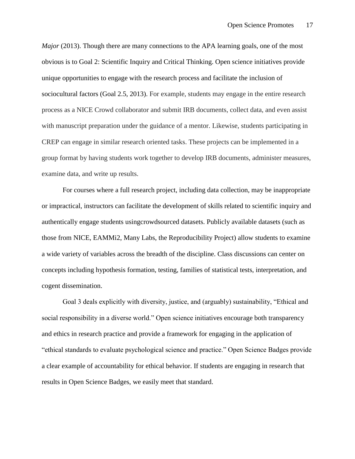*Major* (2013). Though there are many connections to the APA learning goals, one of the most obvious is to Goal 2: Scientific Inquiry and Critical Thinking. Open science initiatives provide unique opportunities to engage with the research process and facilitate the inclusion of sociocultural factors (Goal 2.5, 2013). For example, students may engage in the entire research process as a NICE Crowd collaborator and submit IRB documents, collect data, and even assist with manuscript preparation under the guidance of a mentor. Likewise, students participating in CREP can engage in similar research oriented tasks. These projects can be implemented in a group format by having students work together to develop IRB documents, administer measures, examine data, and write up results.

For courses where a full research project, including data collection, may be inappropriate or impractical, instructors can facilitate the development of skills related to scientific inquiry and authentically engage students usingcrowdsourced datasets. Publicly available datasets (such as those from NICE, EAMMi2, Many Labs, the Reproducibility Project) allow students to examine a wide variety of variables across the breadth of the discipline. Class discussions can center on concepts including hypothesis formation, testing, families of statistical tests, interpretation, and cogent dissemination.

Goal 3 deals explicitly with diversity, justice, and (arguably) sustainability, "Ethical and social responsibility in a diverse world." Open science initiatives encourage both transparency and ethics in research practice and provide a framework for engaging in the application of "ethical standards to evaluate psychological science and practice." Open Science Badges provide a clear example of accountability for ethical behavior. If students are engaging in research that results in Open Science Badges, we easily meet that standard.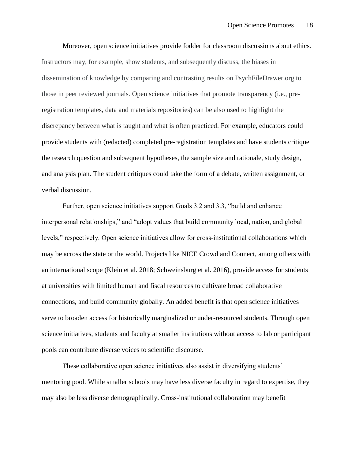Moreover, open science initiatives provide fodder for classroom discussions about ethics. Instructors may, for example, show students, and subsequently discuss, the biases in dissemination of knowledge by comparing and contrasting results on PsychFileDrawer.org to those in peer reviewed journals. Open science initiatives that promote transparency (i.e., preregistration templates, data and materials repositories) can be also used to highlight the discrepancy between what is taught and what is often practiced. For example, educators could provide students with (redacted) completed pre-registration templates and have students critique the research question and subsequent hypotheses, the sample size and rationale, study design, and analysis plan. The student critiques could take the form of a debate, written assignment, or verbal discussion.

Further, open science initiatives support Goals 3.2 and 3.3, "build and enhance interpersonal relationships," and "adopt values that build community local, nation, and global levels," respectively. Open science initiatives allow for cross-institutional collaborations which may be across the state or the world. Projects like NICE Crowd and Connect, among others with an international scope (Klein et al. 2018; Schweinsburg et al. 2016), provide access for students at universities with limited human and fiscal resources to cultivate broad collaborative connections, and build community globally. An added benefit is that open science initiatives serve to broaden access for historically marginalized or under-resourced students. Through open science initiatives, students and faculty at smaller institutions without access to lab or participant pools can contribute diverse voices to scientific discourse.

These collaborative open science initiatives also assist in diversifying students' mentoring pool. While smaller schools may have less diverse faculty in regard to expertise, they may also be less diverse demographically. Cross-institutional collaboration may benefit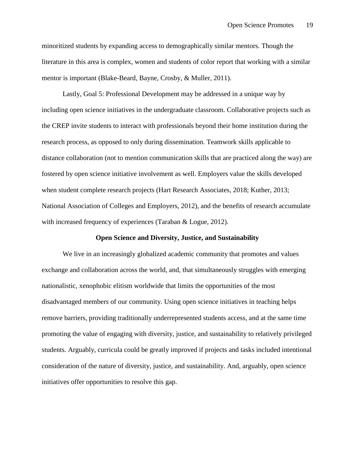minoritized students by expanding access to demographically similar mentors. Though the literature in this area is complex, women and students of color report that working with a similar mentor is important (Blake-Beard, Bayne, Crosby, & Muller, 2011).

Lastly, Goal 5: Professional Development may be addressed in a unique way by including open science initiatives in the undergraduate classroom. Collaborative projects such as the CREP invite students to interact with professionals beyond their home institution during the research process, as opposed to only during dissemination. Teamwork skills applicable to distance collaboration (not to mention communication skills that are practiced along the way) are fostered by open science initiative involvement as well. Employers value the skills developed when student complete research projects (Hart Research Associates, 2018; Kuther, 2013; National Association of Colleges and Employers, 2012), and the benefits of research accumulate with increased frequency of experiences (Taraban & Logue, 2012).

## **Open Science and Diversity, Justice, and Sustainability**

We live in an increasingly globalized academic community that promotes and values exchange and collaboration across the world, and, that simultaneously struggles with emerging nationalistic, xenophobic elitism worldwide that limits the opportunities of the most disadvantaged members of our community. Using open science initiatives in teaching helps remove barriers, providing traditionally underrepresented students access, and at the same time promoting the value of engaging with diversity, justice, and sustainability to relatively privileged students. Arguably, curricula could be greatly improved if projects and tasks included intentional consideration of the nature of diversity, justice, and sustainability. And, arguably, open science initiatives offer opportunities to resolve this gap.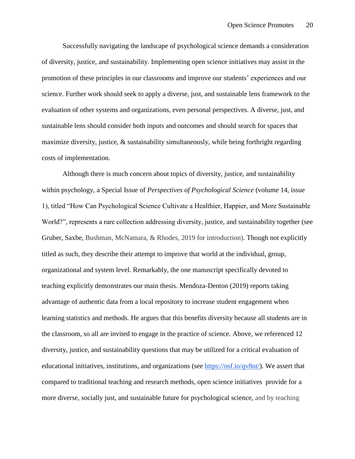Successfully navigating the landscape of psychological science demands a consideration of diversity, justice, and sustainability. Implementing open science initiatives may assist in the promotion of these principles in our classrooms and improve our students' experiences and our science. Further work should seek to apply a diverse, just, and sustainable lens framework to the evaluation of other systems and organizations, even personal perspectives. A diverse, just, and sustainable lens should consider both inputs and outcomes and should search for spaces that maximize diversity, justice,  $\&$  sustainability simultaneously, while being forthright regarding costs of implementation.

Although there is much concern about topics of diversity, justice, and sustainability within psychology, a Special Issue of *Perspectives of Psychological Science* (volume 14, issue 1), titled "How Can Psychological Science Cultivate a Healthier, Happier, and More Sustainable World?", represents a rare collection addressing diversity, justice, and sustainability together (see Gruber, Saxbe, Bushman, McNamara, & Rhodes, 2019 for introduction). Though not explicitly titled as such, they describe their attempt to improve that world at the individual, group, organizational and system level. Remarkably, the one manuscript specifically devoted to teaching explicitly demonstrates our main thesis. Mendoza-Denton (2019) reports taking advantage of authentic data from a local repository to increase student engagement when learning statistics and methods. He argues that this benefits diversity because all students are in the classroom, so all are invited to engage in the practice of science. Above, we referenced 12 diversity, justice, and sustainability questions that may be utilized for a critical evaluation of educational initiatives, institutions, and organizations (see [https://osf.io/qv8nt/\)](https://osf.io/qv8nt/wiki/home/). We assert that compared to traditional teaching and research methods, open science initiatives provide for a more diverse, socially just, and sustainable future for psychological science, and by teaching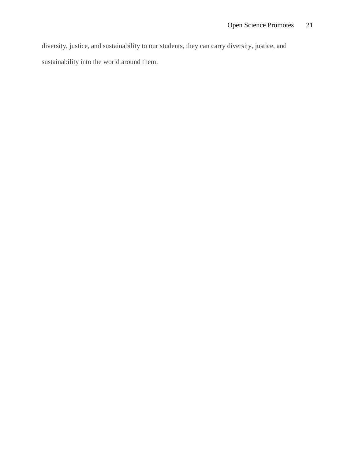diversity, justice, and sustainability to our students, they can carry diversity, justice, and sustainability into the world around them.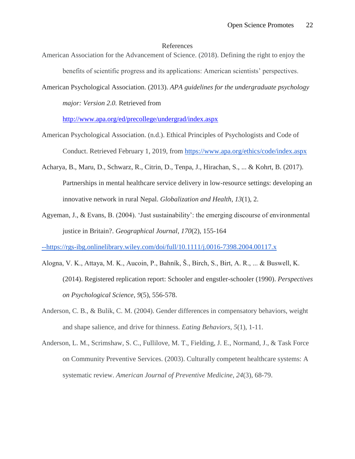#### References

- American Association for the Advancement of Science. (2018). Defining the right to enjoy the benefits of scientific progress and its applications: American scientists' perspectives.
- American Psychological Association. (2013). *APA guidelines for the undergraduate psychology major: Version 2.0.* Retrieved from

<http://www.apa.org/ed/precollege/undergrad/index.aspx>

- American Psychological Association. (n.d.). Ethical Principles of Psychologists and Code of Conduct. Retrieved February 1, 2019, from <https://www.apa.org/ethics/code/index.aspx>
- Acharya, B., Maru, D., Schwarz, R., Citrin, D., Tenpa, J., Hirachan, S., ... & Kohrt, B. (2017). Partnerships in mental healthcare service delivery in low-resource settings: developing an innovative network in rural Nepal. *Globalization and Health*, *13*(1), 2.
- Agyeman, J., & Evans, B. (2004). 'Just sustainability': the emerging discourse of environmental justice in Britain?. *Geographical Journal*, *170*(2), 155-164

[--https://rgs-ibg.onlinelibrary.wiley.com/doi/full/10.1111/j.0016-7398.2004.00117.x](https://rgs-ibg.onlinelibrary.wiley.com/doi/full/10.1111/j.0016-7398.2004.00117.x)

- Alogna, V. K., Attaya, M. K., Aucoin, P., Bahník, Š., Birch, S., Birt, A. R., ... & Buswell, K. (2014). Registered replication report: Schooler and engstler-schooler (1990). *Perspectives on Psychological Science*, *9*(5), 556-578.
- Anderson, C. B., & Bulik, C. M. (2004). Gender differences in compensatory behaviors, weight and shape salience, and drive for thinness. *Eating Behaviors*, *5*(1), 1-11.
- Anderson, L. M., Scrimshaw, S. C., Fullilove, M. T., Fielding, J. E., Normand, J., & Task Force on Community Preventive Services. (2003). Culturally competent healthcare systems: A systematic review. *American Journal of Preventive Medicine*, *24*(3), 68-79.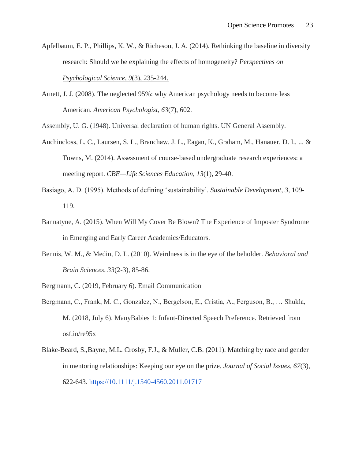- Apfelbaum, E. P., Phillips, K. W., & Richeson, J. A. (2014). Rethinking the baseline in diversity research: Should we be explaining the effects of homogeneity? *Perspectives on Psychological Science*, *9*(3), 235-244.
- Arnett, J. J. (2008). The neglected 95%: why American psychology needs to become less American. *American Psychologist*, *63*(7), 602.

Assembly, U. G. (1948). Universal declaration of human rights. UN General Assembly.

- Auchincloss, L. C., Laursen, S. L., Branchaw, J. L., Eagan, K., Graham, M., Hanauer, D. I., ... & Towns, M. (2014). Assessment of course-based undergraduate research experiences: a meeting report. *CBE—Life Sciences Education*, *13*(1), 29-40.
- Basiago, A. D. (1995). Methods of defining 'sustainability'. *Sustainable Development*, *3,* 109- 119.
- Bannatyne, A. (2015). When Will My Cover Be Blown? The Experience of Imposter Syndrome in Emerging and Early Career Academics/Educators.
- Bennis, W. M., & Medin, D. L. (2010). Weirdness is in the eye of the beholder. *Behavioral and Brain Sciences*, *33*(2-3), 85-86.
- Bergmann, C. (2019, February 6). Email Communication
- Bergmann, C., Frank, M. C., Gonzalez, N., Bergelson, E., Cristia, A., Ferguson, B., … Shukla, M. (2018, July 6). ManyBabies 1: Infant-Directed Speech Preference. Retrieved from osf.io/re95x
- Blake-Beard, S.,Bayne, M.L. Crosby, F.J., & Muller, C.B. (2011). Matching by race and gender in mentoring relationships: Keeping our eye on the prize. *Journal of Social Issues, 67*(3), 622-643. [https://10.1111/j.1540-4560.2011.01717](https://10.0.4.87/j.1540-4560.2011.01717)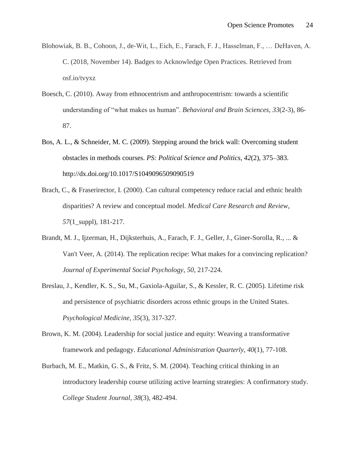- Blohowiak, B. B., Cohoon, J., de-Wit, L., Eich, E., Farach, F. J., Hasselman, F., … DeHaven, A. C. (2018, November 14). Badges to Acknowledge Open Practices. Retrieved from osf.io/tvyxz
- Boesch, C. (2010). Away from ethnocentrism and anthropocentrism: towards a scientific understanding of "what makes us human". *Behavioral and Brain Sciences*, *33*(2-3), 86- 87.
- Bos, A. L., & Schneider, M. C. (2009). Stepping around the brick wall: Overcoming student obstacles in methods courses. *PS: Political Science and Politics*, *42*(2), 375–383. http://dx.doi.org/10.1017/S1049096509090519
- Brach, C., & Fraserirector, I. (2000). Can cultural competency reduce racial and ethnic health disparities? A review and conceptual model. *Medical Care Research and Review*, *57*(1\_suppl), 181-217.
- Brandt, M. J., Ijzerman, H., Dijksterhuis, A., Farach, F. J., Geller, J., Giner-Sorolla, R., ... & Van't Veer, A. (2014). The replication recipe: What makes for a convincing replication? *Journal of Experimental Social Psychology*, *50*, 217-224.
- Breslau, J., Kendler, K. S., Su, M., Gaxiola-Aguilar, S., & Kessler, R. C. (2005). Lifetime risk and persistence of psychiatric disorders across ethnic groups in the United States. *Psychological Medicine*, *35*(3), 317-327.
- Brown, K. M. (2004). Leadership for social justice and equity: Weaving a transformative framework and pedagogy. *Educational Administration Quarterly*, *40*(1), 77-108.
- Burbach, M. E., Matkin, G. S., & Fritz, S. M. (2004). Teaching critical thinking in an introductory leadership course utilizing active learning strategies: A confirmatory study. *College Student Journal*, *38*(3), 482-494.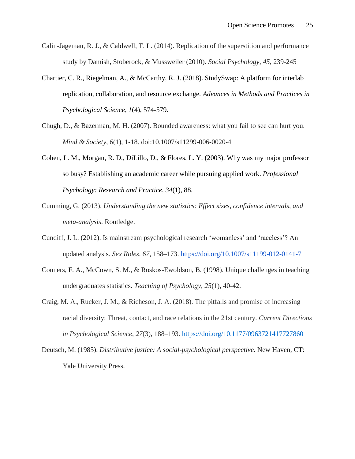- Calin-Jageman, R. J., & Caldwell, T. L. (2014). Replication of the superstition and performance study by Damish, Stoberock, & Mussweiler (2010). *Social Psychology, 45*, 239-245
- Chartier, C. R., Riegelman, A., & McCarthy, R. J. (2018). StudySwap: A platform for interlab replication, collaboration, and resource exchange. *Advances in Methods and Practices in Psychological Science*, *1*(4), 574-579.
- Chugh, D., & Bazerman, M. H. (2007). Bounded awareness: what you fail to see can hurt you. *Mind & Society*, *6*(1), 1-18. doi:10.1007/s11299-006-0020-4
- Cohen, L. M., Morgan, R. D., DiLillo, D., & Flores, L. Y. (2003). Why was my major professor so busy? Establishing an academic career while pursuing applied work. *Professional Psychology: Research and Practice*, *34*(1), 88.
- Cumming, G. (2013). *Understanding the new statistics: Effect sizes, confidence intervals, and meta-analysis*. Routledge.
- Cundiff, J. L. (2012). Is mainstream psychological research 'womanless' and 'raceless'? An updated analysis. *Sex Roles, 67*, 158*–*173.<https://doi.org/10.1007/s11199-012-0141-7>
- Conners, F. A., McCown, S. M., & Roskos-Ewoldson, B. (1998). Unique challenges in teaching undergraduates statistics. *Teaching of Psychology, 25*(1), 40-42.
- Craig, M. A., Rucker, J. M., & Richeson, J. A. (2018). The pitfalls and promise of increasing racial diversity: Threat, contact, and race relations in the 21st century. *Current Directions in Psychological Science*, *27*(3), 188–193. <https://doi.org/10.1177/0963721417727860>
- Deutsch, M. (1985). *Distributive justice: A social-psychological perspective*. New Haven, CT: Yale University Press.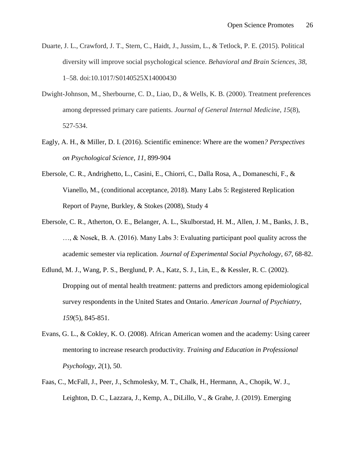- Duarte, J. L., Crawford, J. T., Stern, C., Haidt, J., Jussim, L., & Tetlock, P. E. (2015). Political diversity will improve social psychological science. *Behavioral and Brain Sciences, 38*, 1–58. doi:10.1017/S0140525X14000430
- Dwight-Johnson, M., Sherbourne, C. D., Liao, D., & Wells, K. B. (2000). Treatment preferences among depressed primary care patients. *Journal of General Internal Medicine*, *15*(8), 527-534.
- Eagly, A. H., & Miller, D. I. (2016). Scientific eminence: Where are the women*? Perspectives on Psychological Science, 11,* 899-904
- Ebersole, C. R., Andrighetto, L., Casini, E., Chiorri, C., Dalla Rosa, A., Domaneschi, F., & Vianello, M., (conditional acceptance, 2018). Many Labs 5: Registered Replication Report of Payne, Burkley, & Stokes (2008), Study 4
- Ebersole, C. R., Atherton, O. E., Belanger, A. L., Skulborstad, H. M., Allen, J. M., Banks, J. B., …, & Nosek, B. A. (2016). Many Labs 3: Evaluating participant pool quality across the academic semester via replication. *Journal of Experimental Social Psychology*, *67*, 68-82.
- Edlund, M. J., Wang, P. S., Berglund, P. A., Katz, S. J., Lin, E., & Kessler, R. C. (2002). Dropping out of mental health treatment: patterns and predictors among epidemiological survey respondents in the United States and Ontario. *American Journal of Psychiatry*, *159*(5), 845-851.
- Evans, G. L., & Cokley, K. O. (2008). African American women and the academy: Using career mentoring to increase research productivity. *Training and Education in Professional Psychology*, *2*(1), 50.
- Faas, C., McFall, J., Peer, J., Schmolesky, M. T., Chalk, H., Hermann, A., Chopik, W. J., Leighton, D. C., Lazzara, J., Kemp, A., DiLillo, V., & Grahe, J. (2019). Emerging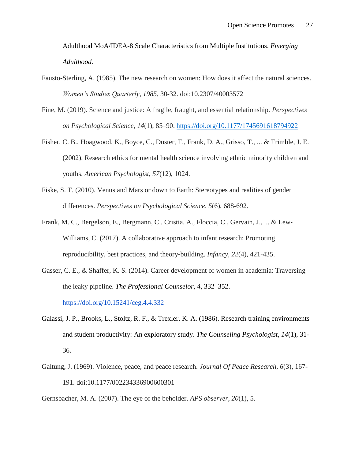Adulthood MoA/IDEA-8 Scale Characteristics from Multiple Institutions. *Emerging Adulthood.*

- Fausto-Sterling, A. (1985). The new research on women: How does it affect the natural sciences. *Women's Studies Quarterly*, *1985*, 30-32. doi:10.2307/40003572
- Fine, M. (2019). Science and justice: A fragile, fraught, and essential relationship. *Perspectives on Psychological Science*, *14*(1), 85–90.<https://doi.org/10.1177/1745691618794922>
- Fisher, C. B., Hoagwood, K., Boyce, C., Duster, T., Frank, D. A., Grisso, T., ... & Trimble, J. E. (2002). Research ethics for mental health science involving ethnic minority children and youths. *American Psychologist, 57*(12), 1024.
- Fiske, S. T. (2010). Venus and Mars or down to Earth: Stereotypes and realities of gender differences. *Perspectives on Psychological Science*, *5*(6), 688-692.
- Frank, M. C., Bergelson, E., Bergmann, C., Cristia, A., Floccia, C., Gervain, J., ... & Lew‐ Williams, C. (2017). A collaborative approach to infant research: Promoting reproducibility, best practices, and theory‐building. *Infancy*, *22*(4), 421-435.
- Gasser, C. E., & Shaffer, K. S. (2014). Career development of women in academia: Traversing the leaky pipeline. *The Professional Counselor, 4*, 332*–*352[.](https://doi.org/10.15241/ceg.4.4.332) <https://doi.org/10.15241/ceg.4.4.332>
- Galassi, J. P., Brooks, L., Stoltz, R. F., & Trexler, K. A. (1986). Research training environments and student productivity: An exploratory study. *The Counseling Psychologist, 14*(1), 31- 36.
- Galtung, J. (1969). Violence, peace, and peace research. *Journal Of Peace Research*, *6*(3), 167- 191. doi:10.1177/002234336900600301

Gernsbacher, M. A. (2007). The eye of the beholder. *APS observer*, *20*(1), 5.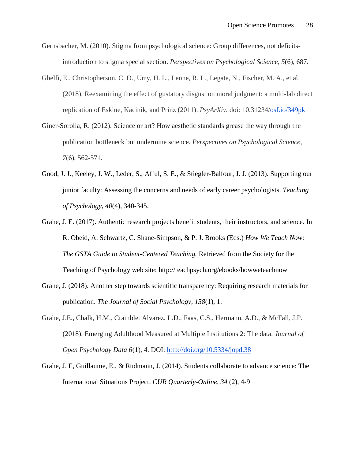- Gernsbacher, M. (2010). Stigma from psychological science: Group differences, not deficitsintroduction to stigma special section. *Perspectives on Psychological Science*, *5*(6), 687.
- Ghelfi, E., Christopherson, C. D., Urry, H. L., Lenne, R. L., Legate, N., Fischer, M. A., et al. (2018). Reexamining the effect of gustatory disgust on moral judgment: a multi-lab direct replication of Eskine, Kacinik, and Prinz (2011). *PsyArXiv.* doi: 10.31234[/osf.io/349pk](http://osf.io/349pk)
- Giner-Sorolla, R. (2012). Science or art? How aesthetic standards grease the way through the publication bottleneck but undermine science. *Perspectives on Psychological Science*, *7*(6), 562-571.
- Good, J. J., Keeley, J. W., Leder, S., Afful, S. E., & Stiegler-Balfour, J. J. (2013). Supporting our junior faculty: Assessing the concerns and needs of early career psychologists. *Teaching of Psychology*, *40*(4), 340-345.
- Grahe, J. E. (2017). Authentic research projects benefit students, their instructors, and science. In R. Obeid, A. Schwartz, C. Shane-Simpson, & P. J. Brooks (Eds.) *How We Teach Now: The GSTA Guide to Student-Centered Teaching.* Retrieved from the Society for the Teaching of Psychology web site: <http://teachpsych.org/ebooks/howweteachnow>
- Grahe, J. (2018). Another step towards scientific transparency: Requiring research materials for publication. *The Journal of Social Psychology*, *158*(1), 1.
- Grahe, J.E., Chalk, H.M., Cramblet Alvarez, L.D., Faas, C.S., Hermann, A.D., & McFall, J.P. (2018). Emerging Adulthood Measured at Multiple Institutions 2: The data. *Journal of Open Psychology Data 6*(1), 4. DOI:<http://doi.org/10.5334/jopd.38>
- Grahe, J. E, Guillaume, E., & Rudmann, J. (2014). [Students collaborate to advance science: The](http://www.cur.org/assets/1/23/Winter2013_v34.2_Grahe.Guilaume.Rudmann.pdf)  [International Situations Project.](http://www.cur.org/assets/1/23/Winter2013_v34.2_Grahe.Guilaume.Rudmann.pdf) *CUR Quarterly-Online, 34* (2), 4-9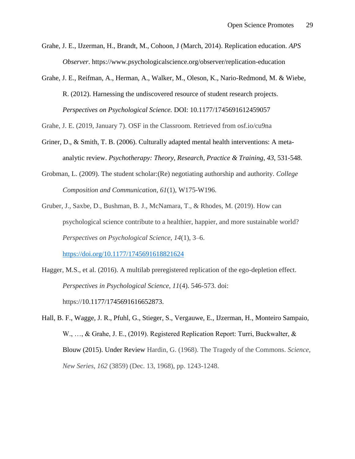- Grahe, J. E., IJzerman, H., Brandt, M., Cohoon, J (March, 2014). [Replication education.](https://www.psychologicalscience.org/index.php/publications/observer/2014/march-14/replication-education.html) *APS Observer*. <https://www.psychologicalscience.org/observer/replication-education>
- Grahe, J. E., Reifman, A., Herman, A., Walker, M., Oleson, K., Nario-Redmond, M. & Wiebe, R. (2012). Harnessing the undiscovered resource of student research projects. *Perspectives on Psychological Science.* DOI: 10.1177/1745691612459057

Grahe, J. E. (2019, January 7). OSF in the Classroom. Retrieved from osf.io/cu9na

- Griner, D., & Smith, T. B. (2006). Culturally adapted mental health interventions: A metaanalytic review. *Psychotherapy: Theory, Research, Practice & Training*, *43*, 531-548.
- Grobman, L. (2009). The student scholar:(Re) negotiating authorship and authority. *College Composition and Communication*, *61*(1), W175-W196.
- Gruber, J., Saxbe, D., Bushman, B. J., McNamara, T., & Rhodes, M. (2019). How can psychological science contribute to a healthier, happier, and more sustainable world? *Perspectives on Psychological Science*, *14*(1), 3–6. <https://doi.org/10.1177/1745691618821624>
- Hagger, M.S., et al. (2016). A multilab preregistered replication of the ego-depletion effect. *Perspectives in Psychological Science, 11*(4). 546-573. doi: https://10.1177/1745691616652873.
- Hall, B. F., Wagge, J. R., Pfuhl, G., Stieger, S., Vergauwe, E., IJzerman, H., Monteiro Sampaio, W., …, & Grahe, J. E., (2019). Registered Replication Report: Turri, Buckwalter, & Blouw (2015). Under Review Hardin, G. (1968). The Tragedy of the Commons. *Science, New Series, 162* (3859) (Dec. 13, 1968), pp. 1243-1248.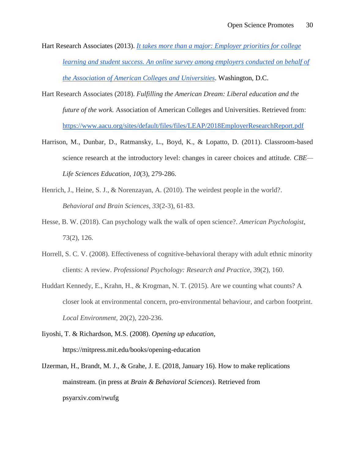- Hart Research Associates (2013). *[It takes more than a major: Employer priorities for college](http://www.aacu.org/leap/documents/2013_EmployerSurvey.pdf)  learning and student success. [An online survey among employers conducted on behalf of](http://www.aacu.org/leap/documents/2013_EmployerSurvey.pdf)  [the Association of American Colleges and Universities](http://www.aacu.org/leap/documents/2013_EmployerSurvey.pdf)*. Washington, D.C.
- Hart Research Associates (2018). *Fulfilling the American Dream: Liberal education and the future of the work.* Association of American Colleges and Universities. Retrieved from: <https://www.aacu.org/sites/default/files/files/LEAP/2018EmployerResearchReport.pdf>
- Harrison, M., Dunbar, D., Ratmansky, L., Boyd, K., & Lopatto, D. (2011). Classroom-based science research at the introductory level: changes in career choices and attitude. *CBE— Life Sciences Education*, *10*(3), 279-286.
- Henrich, J., Heine, S. J., & Norenzayan, A. (2010). The weirdest people in the world?. *Behavioral and Brain Sciences*, *33*(2-3), 61-83.
- Hesse, B. W. (2018). Can psychology walk the walk of open science?. *American Psychologist*, 73(2), 126.
- Horrell, S. C. V. (2008). Effectiveness of cognitive-behavioral therapy with adult ethnic minority clients: A review. *Professional Psychology: Research and Practice*, 39(2), 160.
- Huddart Kennedy, E., Krahn, H., & Krogman, N. T. (2015). Are we counting what counts? A closer look at environmental concern, pro-environmental behaviour, and carbon footprint. *Local Environment*, 20(2), 220-236.
- Iiyoshi, T. & Richardson, M.S. (2008). *Opening up education*, https://mitpress.mit.edu/books/opening-education
- IJzerman, H., Brandt, M. J., & Grahe, J. E. (2018, January 16). How to make replications mainstream. (in press at *Brain & Behavioral Sciences*). Retrieved from psyarxiv.com/rwufg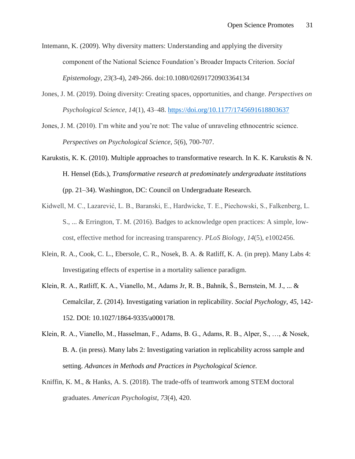Intemann, K. (2009). Why diversity matters: Understanding and applying the diversity component of the National Science Foundation's Broader Impacts Criterion. *Social Epistemology*, *23*(3-4), 249-266. doi:10.1080/02691720903364134

- Jones, J. M. (2019). Doing diversity: Creating spaces, opportunities, and change. *Perspectives on Psychological Science*, *14*(1), 43–48.<https://doi.org/10.1177/1745691618803637>
- Jones, J. M. (2010). I'm white and you're not: The value of unraveling ethnocentric science. *Perspectives on Psychological Science*, *5*(6), 700-707.
- Karukstis, K. K. (2010). Multiple approaches to transformative research. In K. K. Karukstis & N. H. Hensel (Eds.), *Transformative research at predominately undergraduate institutions* (pp. 21–34). Washington, DC: Council on Undergraduate Research.
- Kidwell, M. C., Lazarević, L. B., Baranski, E., Hardwicke, T. E., Piechowski, S., Falkenberg, L. S., ... & Errington, T. M. (2016). Badges to acknowledge open practices: A simple, lowcost, effective method for increasing transparency. *PLoS Biology*, *14*(5), e1002456.
- Klein, R. A., Cook, C. L., Ebersole, C. R., Nosek, B. A. & Ratliff, K. A. (in prep). Many Labs 4: Investigating effects of expertise in a mortality salience paradigm.
- Klein, R. A., Ratliff, K. A., Vianello, M., Adams Jr, R. B., Bahník, Š., Bernstein, M. J., ... & Cemalcilar, Z. (2014). Investigating variation in replicability. *Social Psychology*, *45*, 142- 152. DOI: 10.1027/1864-9335/a000178.
- Klein, R. A., Vianello, M., Hasselman, F., Adams, B. G., Adams, R. B., Alper, S., …, & Nosek, B. A. (in press). Many labs 2: Investigating variation in replicability across sample and setting. *Advances in Methods and Practices in Psychological Science.*
- Kniffin, K. M., & Hanks, A. S. (2018). The trade-offs of teamwork among STEM doctoral graduates. *American Psychologist*, *73*(4), 420.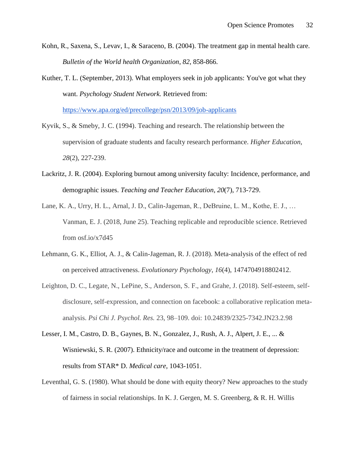- Kohn, R., Saxena, S., Levav, I., & Saraceno, B. (2004). The treatment gap in mental health care. *Bulletin of the World health Organization*, *82*, 858-866.
- Kuther, T. L. (September, 2013). What employers seek in job applicants: You've got what they want. *Psychology Student Network.* Retrieved from:

<https://www.apa.org/ed/precollege/psn/2013/09/job-applicants>

- Kyvik, S., & Smeby, J. C. (1994). Teaching and research. The relationship between the supervision of graduate students and faculty research performance. *Higher Education*, *28*(2), 227-239.
- Lackritz, J. R. (2004). Exploring burnout among university faculty: Incidence, performance, and demographic issues. *Teaching and Teacher Education*, *20*(7), 713-729.
- Lane, K. A., Urry, H. L., Arnal, J. D., Calin-Jageman, R., DeBruine, L. M., Kothe, E. J., … Vanman, E. J. (2018, June 25). Teaching replicable and reproducible science. Retrieved from osf.io/x7d45
- Lehmann, G. K., Elliot, A. J., & Calin-Jageman, R. J. (2018). Meta-analysis of the effect of red on perceived attractiveness. *Evolutionary Psychology*, *16*(4), 1474704918802412.
- Leighton, D. C., Legate, N., LePine, S., Anderson, S. F., and Grahe, J. (2018). Self-esteem, selfdisclosure, self-expression, and connection on facebook: a collaborative replication metaanalysis. *Psi Chi J. Psychol. Res.* 23, 98–109. doi: 10.24839/2325-7342.JN23.2.98
- Lesser, I. M., Castro, D. B., Gaynes, B. N., Gonzalez, J., Rush, A. J., Alpert, J. E., ... & Wisniewski, S. R. (2007). Ethnicity/race and outcome in the treatment of depression: results from STAR\* D. *Medical care*, 1043-1051.
- Leventhal, G. S. (1980). What should be done with equity theory? New approaches to the study of fairness in social relationships. In K. J. Gergen, M. S. Greenberg, & R. H. Willis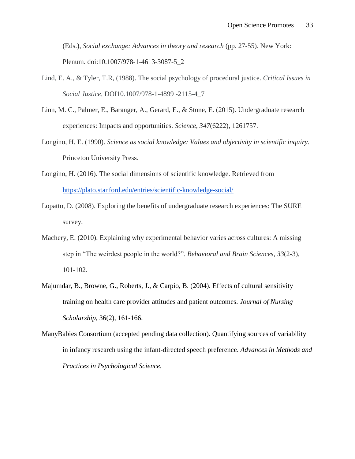(Eds.), *Social exchange: Advances in theory and research* (pp. 27-55). New York: Plenum. doi:10.1007/978-1-4613-3087-5\_2

- Lind, E. A., & Tyler, T.R, (1988). The social psychology of procedural justice. *Critical Issues in Social Justice*, DOI10.1007/978-1-4899 -2115-4\_7
- Linn, M. C., Palmer, E., Baranger, A., Gerard, E., & Stone, E. (2015). Undergraduate research experiences: Impacts and opportunities. *Science*, *347*(6222), 1261757.
- Longino, H. E. (1990). *Science as social knowledge: Values and objectivity in scientific inquiry*. Princeton University Press.
- Longino, H. (2016). The social dimensions of scientific knowledge. Retrieved fro[m](https://plato.stanford.edu/entries/scientific-knowledge-social/) <https://plato.stanford.edu/entries/scientific-knowledge-social/>
- Lopatto, D. (2008). Exploring the benefits of undergraduate research experiences: The SURE survey.
- Machery, E. (2010). Explaining why experimental behavior varies across cultures: A missing step in "The weirdest people in the world?". *Behavioral and Brain Sciences*, *33*(2-3), 101-102.
- Majumdar, B., Browne, G., Roberts, J., & Carpio, B. (2004). Effects of cultural sensitivity training on health care provider attitudes and patient outcomes*. Journal of Nursing Scholarship*, 36(2), 161-166.
- ManyBabies Consortium (accepted pending data collection). Quantifying sources of variability in infancy research using the infant-directed speech preference. *Advances in Methods and Practices in Psychological Science.*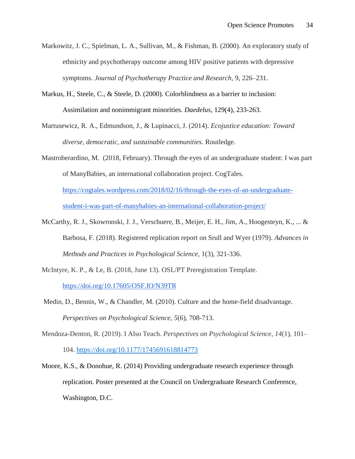- Markowitz, J. C., Spielman, L. A., Sullivan, M., & Fishman, B. (2000). An exploratory study of ethnicity and psychotherapy outcome among HIV positive patients with depressive symptoms. *Journal of Psychotherapy Practice and Research*, 9, 226–231.
- Markus, H., Steele, C., & Steele, D. (2000). Colorblindness as a barrier to inclusion: Assimilation and nonimmigrant minorities. *Daedelus*, 129(4), 233-263.
- Martusewicz, R. A., Edmundson, J., & Lupinacci, J. (2014). *Ecojustice education: Toward diverse, democratic, and sustainable communities*. Routledge.
- Mastroberardino, M. (2018, February). Through the eyes of an undergraduate student: I was part of ManyBabies, an international collaboration project. CogTales[.](https://cogtales.wordpress.com/2018/02/16/through-the-eyes-of-an-undergraduate-student-i-was-part-of-manybabies-an-international-collaboration-project/)

[https://cogtales.wordpress.com/2018/02/16/through-the-eyes-of-an-undergraduate](https://cogtales.wordpress.com/2018/02/16/through-the-eyes-of-an-undergraduate-student-i-was-part-of-manybabies-an-international-collaboration-project/)[student-i-was-part-of-manybabies-an-international-collaboration-project/](https://cogtales.wordpress.com/2018/02/16/through-the-eyes-of-an-undergraduate-student-i-was-part-of-manybabies-an-international-collaboration-project/)

- McCarthy, R. J., Skowronski, J. J., Verschuere, B., Meijer, E. H., Jim, A., Hoogesteyn, K., ... & Barbosa, F. (2018). Registered replication report on Srull and Wyer (1979). *Advances in Methods and Practices in Psychological Science*, 1(3), 321-336.
- McIntyre, K. P., & Le, B. (2018, June 13). OSL/PT Preregistration Template. <https://doi.org/10.17605/OSF.IO/N39TR>
- Medin, D., Bennis, W., & Chandler, M. (2010). Culture and the home-field disadvantage. *Perspectives on Psychological Science*, *5*(6), 708-713.
- Mendoza-Denton, R. (2019). I Also Teach. *Perspectives on Psychological Science*, *14*(1), 101– 104.<https://doi.org/10.1177/1745691618814773>
- Moore, K.S., & Donohue, R. (2014) Providing undergraduate research experience through replication. Poster presented at the Council on Undergraduate Research Conference, Washington, D.C.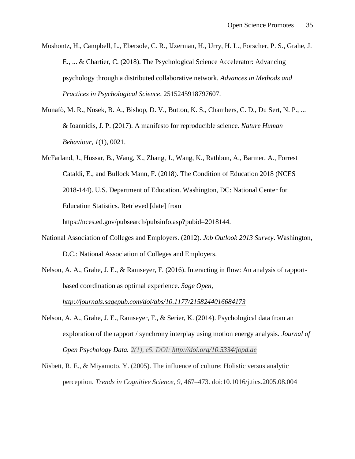Moshontz, H., Campbell, L., Ebersole, C. R., IJzerman, H., Urry, H. L., Forscher, P. S., Grahe, J. E., ... & Chartier, C. (2018). The Psychological Science Accelerator: Advancing psychology through a distributed collaborative network. *Advances in Methods and Practices in Psychological Science*, 2515245918797607.

- Munafò, M. R., Nosek, B. A., Bishop, D. V., Button, K. S., Chambers, C. D., Du Sert, N. P., ... & Ioannidis, J. P. (2017). A manifesto for reproducible science. *Nature Human Behaviour*, *1*(1), 0021.
- McFarland, J., Hussar, B., Wang, X., Zhang, J., Wang, K., Rathbun, A., Barmer, A., Forrest Cataldi, E., and Bullock Mann, F. (2018). The Condition of Education 2018 (NCES 2018-144). U.S. Department of Education. Washington, DC: National Center for Education Statistics. Retrieved [date] from

https://nces.ed.gov/pubsearch/pubsinfo.asp?pubid=2018144.

- National Association of Colleges and Employers. (2012). *Job Outlook 2013 Survey*. Washington, D.C.: National Association of Colleges and Employers.
- Nelson, A. A., Grahe, J. E., & Ramseyer, F. (2016). Interacting in flow: An analysis of rapportbased coordination as optimal experience. *Sage Open[,](http://journals.sagepub.com/doi/abs/10.1177/2158244016684173)*

*<http://journals.sagepub.com/doi/abs/10.1177/2158244016684173>*

- Nelson, A. A., Grahe, J. E., Ramseyer, F., & Serier, K. (2014). Psychological data from an exploration of the rapport / synchrony interplay using motion energy analysis. *Journal of Open Psychology Data. 2(1), e5. DOI:<http://doi.org/10.5334/jopd.ae>*
- Nisbett, R. E., & Miyamoto, Y. (2005). The influence of culture: Holistic versus analytic perception. *Trends in Cognitive Science, 9*, 467–473. doi:10.1016/j.tics.2005.08.004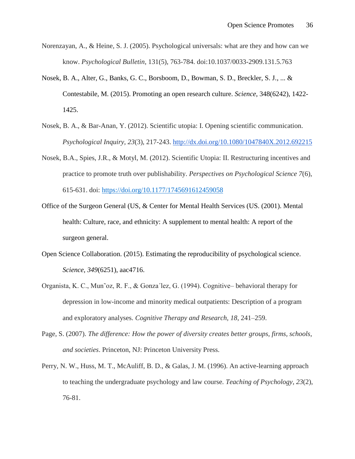- Norenzayan, A., & Heine, S. J. (2005). Psychological universals: what are they and how can we know. *Psychological Bulletin*, 131(5), 763-784. doi:10.1037/0033-2909.131.5.763
- Nosek, B. A., Alter, G., Banks, G. C., Borsboom, D., Bowman, S. D., Breckler, S. J., ... & Contestabile, M. (2015). Promoting an open research culture. *Science*, 348(6242), 1422- 1425.
- Nosek, B. A., & Bar-Anan, Y. (2012). Scientific utopia: I. Opening scientific communication. *Psychological Inquiry, 23*(3), 217-243. <http://dx.doi.org/10.1080/1047840X.2012.692215>
- Nosek, B.A., Spies, J.R., & Motyl, M. (2012). Scientific Utopia: II. Restructuring incentives and practice to promote truth over publishability. *Perspectives on Psychological Science 7*(6), 615-631. doi: [https://doi.org/10.1177/1745691612459058](https://doi.org/10.1177%2F1745691612459058)
- Office of the Surgeon General (US, & Center for Mental Health Services (US. (2001). Mental health: Culture, race, and ethnicity: A supplement to mental health: A report of the surgeon general.
- Open Science Collaboration. (2015). Estimating the reproducibility of psychological science. *Science*, *349*(6251), aac4716.
- Organista, K. C., Mun˜oz, R. F., & Gonza´lez, G. (1994). Cognitive– behavioral therapy for depression in low-income and minority medical outpatients: Description of a program and exploratory analyses. *Cognitive Therapy and Research, 18*, 241–259.
- Page, S. (2007). *The difference: How the power of diversity creates better groups, firms, schools, and societies*. Princeton, NJ: Princeton University Press.
- Perry, N. W., Huss, M. T., McAuliff, B. D., & Galas, J. M. (1996). An active-learning approach to teaching the undergraduate psychology and law course. *Teaching of Psychology*, *23*(2), 76-81.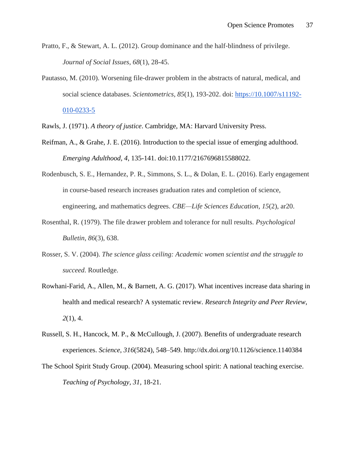- Pratto, F., & Stewart, A. L. (2012). Group dominance and the half-blindness of privilege. *Journal of Social Issues*, *68*(1), 28-45.
- Pautasso, M. (2010). Worsening file-drawer problem in the abstracts of natural, medical, and social science databases. *Scientometrics, 85*(1), 193-202. doi: [https://10.1007/s11192-](https://10.0.3.239/s11192-010-0233-5) [010-0233-5](https://10.0.3.239/s11192-010-0233-5)
- Rawls, J. (1971). *A theory of justice*. Cambridge, MA: Harvard University Press.
- Reifman, A., & Grahe, J. E. (2016). Introduction to the special issue of emerging adulthood. *Emerging Adulthood, 4*, 135-141. doi:10.1177/2167696815588022.
- Rodenbusch, S. E., Hernandez, P. R., Simmons, S. L., & Dolan, E. L. (2016). Early engagement in course-based research increases graduation rates and completion of science, engineering, and mathematics degrees. *CBE—Life Sciences Education*, *15*(2), ar20.
- Rosenthal, R. (1979). The file drawer problem and tolerance for null results. *Psychological Bulletin*, *86*(3), 638.
- Rosser, S. V. (2004). *The science glass ceiling: Academic women scientist and the struggle to succeed*. Routledge.
- Rowhani-Farid, A., Allen, M., & Barnett, A. G. (2017). What incentives increase data sharing in health and medical research? A systematic review. *Research Integrity and Peer Review*, *2*(1), 4.
- Russell, S. H., Hancock, M. P., & McCullough, J. (2007). Benefits of undergraduate research experiences. *Science*, *316*(5824), 548–549. http://dx.doi.org/10.1126/science.1140384
- The School Spirit Study Group. (2004). Measuring school spirit: A national teaching exercise. *Teaching of Psychology, 31,* 18-21.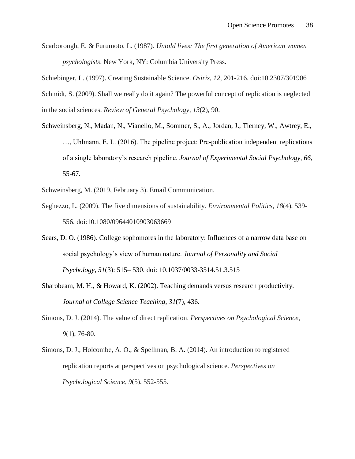Scarborough, E. & Furumoto, L. (1987). *Untold lives: The first generation of American women psychologists*. New York, NY: Columbia University Press.

Schiebinger, L. (1997). Creating Sustainable Science. *Osiris*, *12*, 201-216. doi:10.2307/301906 Schmidt, S. (2009). Shall we really do it again? The powerful concept of replication is neglected in the social sciences. *Review of General Psychology*, *13*(2), 90.

Schweinsberg, N., Madan, N., Vianello, M., Sommer, S., A., Jordan, J., Tierney, W., Awtrey, E., …, Uhlmann, E. L. (2016). The pipeline project: Pre-publication independent replications of a single laboratory's research pipeline. *Journal of Experimental Social Psychology, 66*, 55-67.

Schweinsberg, M. (2019, February 3). Email Communication.

- Seghezzo, L. (2009). The five dimensions of sustainability. *Environmental Politics*, *18*(4), 539- 556. doi:10.1080/09644010903063669
- Sears, D. O. (1986). College sophomores in the laboratory: Influences of a narrow data base on social psychology's view of human nature. *Journal of Personality and Social Psychology, 51*(3): 515– 530. doi: 10.1037/0033-3514.51.3.515
- Sharobeam, M. H., & Howard, K. (2002). Teaching demands versus research productivity. *Journal of College Science Teaching*, *31*(7), 436.
- Simons, D. J. (2014). The value of direct replication. *Perspectives on Psychological Science*, *9*(1), 76-80.
- Simons, D. J., Holcombe, A. O., & Spellman, B. A. (2014). An introduction to registered replication reports at perspectives on psychological science. *Perspectives on Psychological Science*, *9*(5), 552-555.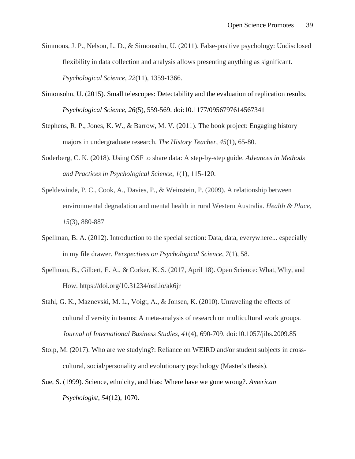- Simmons, J. P., Nelson, L. D., & Simonsohn, U. (2011). False-positive psychology: Undisclosed flexibility in data collection and analysis allows presenting anything as significant. *Psychological Science*, *22*(11), 1359-1366.
- Simonsohn, U. (2015). Small telescopes: Detectability and the evaluation of replication results. *Psychological Science, 26*(5), 559-569. doi:10.1177/0956797614567341
- Stephens, R. P., Jones, K. W., & Barrow, M. V. (2011). The book project: Engaging history majors in undergraduate research. *The History Teacher*, *45*(1), 65-80.
- Soderberg, C. K. (2018). Using OSF to share data: A step-by-step guide. *Advances in Methods and Practices in Psychological Science*, *1*(1), 115-120.
- Speldewinde, P. C., Cook, A., Davies, P., & Weinstein, P. (2009). A relationship between environmental degradation and mental health in rural Western Australia. *Health & Place*, *15*(3), 880-887
- Spellman, B. A. (2012). Introduction to the special section: Data, data, everywhere... especially in my file drawer. *Perspectives on Psychological Science*, *7*(1), 58.
- Spellman, B., Gilbert, E. A., & Corker, K. S. (2017, April 18). Open Science: What, Why, and How. https://doi.org/10.31234/osf.io/ak6jr
- Stahl, G. K., Maznevski, M. L., Voigt, A., & Jonsen, K. (2010). Unraveling the effects of cultural diversity in teams: A meta-analysis of research on multicultural work groups. *Journal of International Business Studies*, *41*(4), 690-709. doi:10.1057/jibs.2009.85
- Stolp, M. (2017). Who are we studying?: Reliance on WEIRD and/or student subjects in crosscultural, social/personality and evolutionary psychology (Master's thesis).
- Sue, S. (1999). Science, ethnicity, and bias: Where have we gone wrong?. *American Psychologist*, *54*(12), 1070.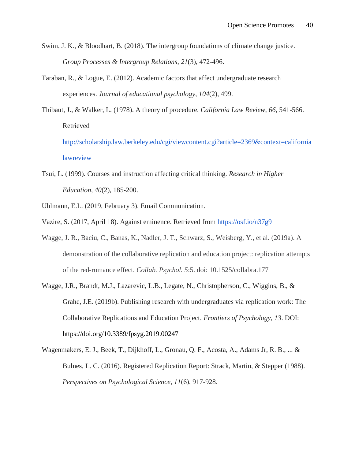- Swim, J. K., & Bloodhart, B. (2018). The intergroup foundations of climate change justice. *Group Processes & Intergroup Relations*, *21*(3), 472-496.
- Taraban, R., & Logue, E. (2012). Academic factors that affect undergraduate research experiences. *Journal of educational psychology*, *104*(2), 499.
- Thibaut, J., & Walker, L. (1978). A theory of procedure. *California Law Review*, *66*, 541-566. Retrieve[d](http://scholarship.law.berkeley.edu/cgi/viewcontent.cgi?article=2369&context=californialawreview) [http://scholarship.law.berkeley.edu/cgi/viewcontent.cgi?article=2369&context=california](http://scholarship.law.berkeley.edu/cgi/viewcontent.cgi?article=2369&context=californialawreview) [lawreview](http://scholarship.law.berkeley.edu/cgi/viewcontent.cgi?article=2369&context=californialawreview)
- [Tsui, L. \(1999\). Courses and instruction affecting critical thinking.](http://scholarship.law.berkeley.edu/cgi/viewcontent.cgi?article=2369&context=californialawreview) *[Research in Higher](http://scholarship.law.berkeley.edu/cgi/viewcontent.cgi?article=2369&context=californialawreview)  [Education](http://scholarship.law.berkeley.edu/cgi/viewcontent.cgi?article=2369&context=californialawreview)*[,](http://scholarship.law.berkeley.edu/cgi/viewcontent.cgi?article=2369&context=californialawreview) *[40](http://scholarship.law.berkeley.edu/cgi/viewcontent.cgi?article=2369&context=californialawreview)*[\(2\), 185-200.](http://scholarship.law.berkeley.edu/cgi/viewcontent.cgi?article=2369&context=californialawreview)
- Uhlmann, E.L. (2019, February 3). Email Communication.
- Vazire, S. (2017, April 18). Against eminence. Retrieved from<https://osf.io/n37g9>
- Wagge, J. R., Baciu, C., Banas, K., Nadler, J. T., Schwarz, S., Weisberg, Y., et al. (2019a). A demonstration of the collaborative replication and education project: replication attempts of the red-romance effect. *Collab. Psychol. 5*:5. doi: 10.1525/collabra.177
- Wagge, J.R., Brandt, M.J., Lazarevic, L.B., Legate, N., Christopherson, C., Wiggins, B., & Grahe, J.E. (2019b). Publishing research with undergraduates via replication work: The Collaborative Replications and Education Project. *Frontiers of Psychology, 13*. DOI: <https://doi.org/10.3389/fpsyg.2019.00247>
- Wagenmakers, E. J., Beek, T., Dijkhoff, L., Gronau, Q. F., Acosta, A., Adams Jr, R. B., ... & Bulnes, L. C. (2016). Registered Replication Report: Strack, Martin, & Stepper (1988). *Perspectives on Psychological Science*, *11*(6), 917-928.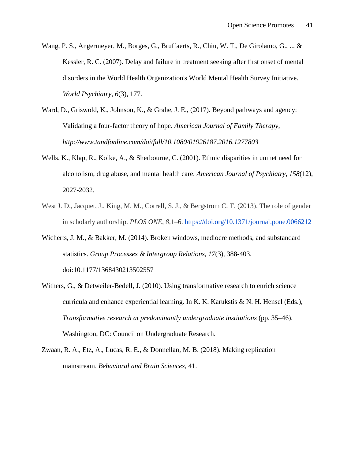- Wang, P. S., Angermeyer, M., Borges, G., Bruffaerts, R., Chiu, W. T., De Girolamo, G., ... & Kessler, R. C. (2007). Delay and failure in treatment seeking after first onset of mental disorders in the World Health Organization's World Mental Health Survey Initiative. *World Psychiatry*, *6*(3), 177.
- Ward, D., Griswold, K., Johnson, K., & Grahe, J. E., (2017). Beyond pathways and agency: Validating a four-factor theory of hope. *American Journal of Family Therapy, http://www.tandfonline.com/doi/full/10.1080/01926187.2016.1277803*
- Wells, K., Klap, R., Koike, A., & Sherbourne, C. (2001). Ethnic disparities in unmet need for alcoholism, drug abuse, and mental health care. *American Journal of Psychiatry*, *158*(12), 2027-2032.
- West J. D., Jacquet, J., King, M. M., Correll, S. J., & Bergstrom C. T. (2013). The role of gender in scholarly authorship. *PLOS ONE*, *8,*1–6.<https://doi.org/10.1371/journal.pone.0066212>
- Wicherts, J. M., & Bakker, M. (2014). Broken windows, mediocre methods, and substandard statistics. *Group Processes & Intergroup Relations, 17*(3), 388-403. doi:10.1177/1368430213502557
- Withers, G., & Detweiler-Bedell, J. (2010). Using transformative research to enrich science curricula and enhance experiential learning. In K. K. Karukstis  $\& N$ . H. Hensel (Eds.), *Transformative research at predominantly undergraduate institutions* (pp. 35–46). Washington, DC: Council on Undergraduate Research.
- Zwaan, R. A., Etz, A., Lucas, R. E., & Donnellan, M. B. (2018). Making replication mainstream. *Behavioral and Brain Sciences*, 41.